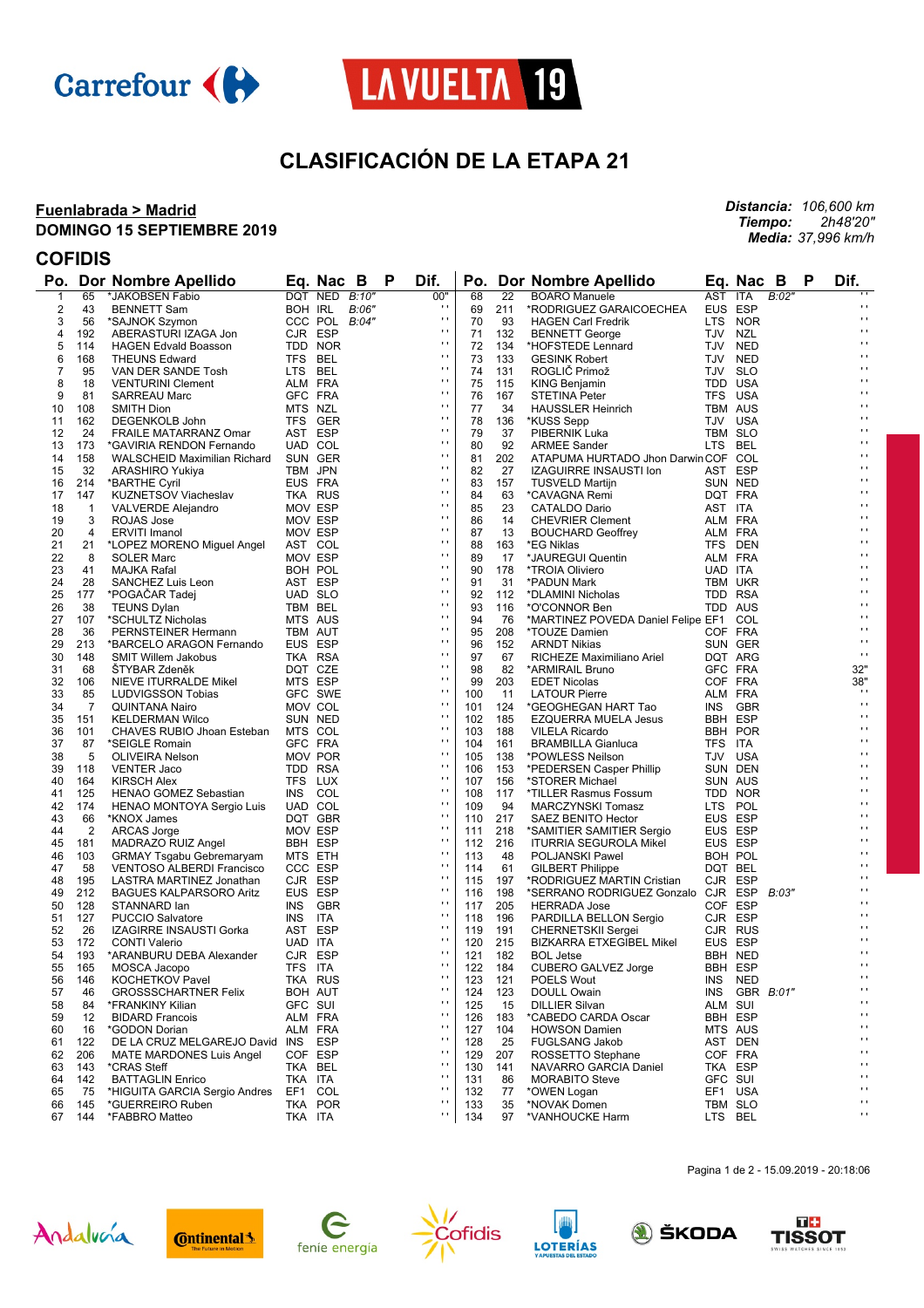



## **CLASIFICACIÓN DE LA ETAPA 21**

#### **Fuenlabrada > Madrid DOMINGO 15 SEPTIEMBRE 2019**

*Distancia: 106,600 km Tiempo: 2h48'20" Media: 37,996 km/h*

### **COFIDIS**

|                         |                       | Po. Dor Nombre Apellido                             |         | Eq. Nac B          |       | P | Dif.                         |            |            | Po. Dor Nombre Apellido                                    |         | Eq. Nac B          |       | P | Dif.                             |
|-------------------------|-----------------------|-----------------------------------------------------|---------|--------------------|-------|---|------------------------------|------------|------------|------------------------------------------------------------|---------|--------------------|-------|---|----------------------------------|
| 1                       | 65                    | *JAKOBSEN Fabio                                     |         | DQT NED            | B:10" |   | 00"                          | 68         | 22         | <b>BOARO Manuele</b>                                       | AST     | <b>ITA</b>         | B:02" |   |                                  |
| $\overline{\mathbf{c}}$ | 43                    | <b>BENNETT Sam</b>                                  | BOH IRL |                    | B:06" |   | $\cdots$                     | 69         | 211        | *RODRIGUEZ GARAICOECHEA                                    | EUS ESP |                    |       |   | $\blacksquare$                   |
| 3                       | 56                    | *SAJNOK Szymon                                      |         | CCC POL B:04"      |       |   | $\mathbf{r}$                 | 70         | 93         | <b>HAGEN Carl Fredrik</b>                                  |         | LTS NOR            |       |   | $\mathbf{r}$                     |
| 4                       | 192                   | ABERASTURI IZAGA Jon                                |         | CJR ESP            |       |   | $\mathbf{r}$                 | 71         | 132        | <b>BENNETT George</b>                                      | TJV NZL |                    |       |   | $\mathbf{r}$                     |
| 5                       | 114                   | <b>HAGEN Edvald Boasson</b>                         |         | TDD NOR            |       |   | $\mathbf{r}$<br>$\mathbf{r}$ | 72         | 134        | *HOFSTEDE Lennard                                          |         | TJV NED            |       |   | $\blacksquare$<br>$\blacksquare$ |
| 6                       | 168                   | <b>THEUNS Edward</b>                                |         | TFS BEL            |       |   | $\mathbf{r}$                 | 73         | 133        | <b>GESINK Robert</b>                                       |         | TJV NED            |       |   | $\blacksquare$                   |
| 7                       | 95                    | VAN DER SANDE Tosh                                  | LTS BEL |                    |       |   | $\mathbf{r}$                 | 74         | 131        | ROGLIČ Primož                                              |         | TJV SLO            |       |   | $\blacksquare$                   |
| 8<br>9                  | 18<br>81              | <b>VENTURINI Clement</b>                            |         | ALM FRA<br>GFC FRA |       |   | $\mathbf{r}$                 | 75<br>76   | 115<br>167 | <b>KING Benjamin</b><br><b>STETINA Peter</b>               |         | TDD USA<br>TFS USA |       |   | $\blacksquare$                   |
| 10                      | 108                   | <b>SARREAU Marc</b><br>SMITH Dion                   | MTS NZL |                    |       |   | $\mathbf{r}$                 | 77         | 34         | <b>HAUSSLER Heinrich</b>                                   |         | TBM AUS            |       |   | $\blacksquare$                   |
| 11                      | 162                   | DEGENKOLB John                                      |         | TFS GER            |       |   | $\mathbf{r}$                 | 78         | 136        | *KUSS Sepp                                                 |         | TJV USA            |       |   | $\blacksquare$                   |
| 12                      | 24                    | FRAILE MATARRANZ Omar                               |         | AST ESP            |       |   | $\mathbf{r}$                 | 79         | 37         | PIBERNIK Luka                                              |         | TBM SLO            |       |   | $\blacksquare$                   |
| 13                      | 173                   | *GAVIRIA RENDON Fernando                            |         | UAD COL            |       |   | $\mathbf{r}$                 | 80         | 92         | <b>ARMEE Sander</b>                                        | LTS BEL |                    |       |   | $\blacksquare$                   |
| 14                      | 158                   | WALSCHEID Maximilian Richard                        |         | SUN GER            |       |   | $\mathbf{r}$                 | 81         | 202        | ATAPUMA HURTADO Jhon Darwin COF COL                        |         |                    |       |   | $\blacksquare$                   |
| 15                      | 32                    | ARASHIRO Yukiya                                     |         | TBM JPN            |       |   | $\mathbf{r}$                 | 82         | 27         | <b>IZAGUIRRE INSAUSTI Ion</b>                              |         | AST ESP            |       |   | $\blacksquare$                   |
| 16                      | 214                   | *BARTHE Cyril                                       |         | EUS FRA            |       |   | $\mathbf{r}$                 | 83         | 157        | <b>TUSVELD Martijn</b>                                     |         | SUN NED            |       |   | $\blacksquare$                   |
| 17                      | 147                   | KUZNETSOV Viacheslav                                |         | TKA RUS            |       |   | $\mathbf{r}$                 | 84         | 63         | *CAVAGNA Remi                                              |         | DQT FRA            |       |   | $\blacksquare$                   |
| 18                      | $\mathbf{1}$          | <b>VALVERDE Alejandro</b>                           |         | MOV ESP            |       |   | $\mathbf{r}$                 | 85         | 23         | <b>CATALDO Dario</b>                                       | AST ITA |                    |       |   | $\blacksquare$                   |
| 19                      | 3                     | ROJAS Jose                                          |         | MOV ESP            |       |   | $\cdot$                      | 86         | 14         | <b>CHEVRIER Clement</b>                                    |         | ALM FRA            |       |   | $\mathbf{r}$                     |
| 20                      | 4                     | <b>ERVITI Imanol</b>                                |         | MOV ESP            |       |   | $\mathbf{r}$                 | 87         | 13         | <b>BOUCHARD Geoffrey</b>                                   |         | ALM FRA            |       |   | $\blacksquare$                   |
| 21                      | 21                    | *LOPEZ MORENO Miguel Angel                          |         | AST COL            |       |   | $\mathbf{r}$<br>$\mathbf{r}$ | 88         | 163        | *EG Niklas                                                 |         | TFS DEN            |       |   | $\blacksquare$<br>$\blacksquare$ |
| 22                      | 8                     | <b>SOLER Marc</b>                                   |         | MOV ESP            |       |   | $\mathbf{r}$                 | 89         | 17         | *JAUREGUI Quentin                                          |         | ALM FRA            |       |   | $\blacksquare$                   |
| 23                      | 41                    | MAJKA Rafal                                         |         | BOH POL            |       |   | $\mathbf{r}$                 | 90         | 178        | *TROIA Oliviero                                            | UAD ITA |                    |       |   | $\blacksquare$                   |
| 24                      | 28                    | SANCHEZ Luis Leon                                   |         | AST ESP            |       |   | $\mathbf{r}$                 | 91         | 31         | *PADUN Mark                                                |         | TBM UKR            |       |   | $\blacksquare$                   |
| 25                      | 177                   | *POGACAR Tadej                                      |         | UAD SLO            |       |   | $\mathbf{r}$                 | 92         | 112        | *DLAMINI Nicholas                                          |         | TDD RSA            |       |   | $\blacksquare$                   |
| 26                      | 38                    | <b>TEUNS Dylan</b>                                  |         | TBM BEL            |       |   | $\mathbf{r}$                 | 93<br>94   | 116        | *O'CONNOR Ben                                              |         | TDD AUS            |       |   | $\blacksquare$                   |
| 27<br>28                | 107<br>36             | *SCHULTZ Nicholas<br>PERNSTEINER Hermann            |         | MTS AUS<br>TBM AUT |       |   | $\mathbf{r}$                 | 95         | 76<br>208  | *MARTINEZ POVEDA Daniel Felipe EF1 COL<br>*TOUZE Damien    |         | COF FRA            |       |   | $\mathbf{r}$                     |
| 29                      | 213                   | *BARCELO ARAGON Fernando                            |         | EUS ESP            |       |   | $\mathbf{r}$                 | 96         | 152        | <b>ARNDT Nikias</b>                                        |         | SUN GER            |       |   | $\mathbf{r}$                     |
| 30                      | 148                   | <b>SMIT Willem Jakobus</b>                          |         | TKA RSA            |       |   | $\mathbf{r}$                 | 97         | 67         | RICHEZE Maximiliano Ariel                                  |         | DQT ARG            |       |   | $\mathbf{r}$                     |
| 31                      | 68                    | <b>STYBAR Zdeněk</b>                                |         | DQT CZE            |       |   | $\mathbf{r}$                 | 98         | 82         | *ARMIRAIL Bruno                                            |         | GFC FRA            |       |   | 32"                              |
| 32                      | 106                   | NIEVE ITURRALDE Mikel                               |         | MTS ESP            |       |   | $\mathbf{r}$                 | 99         | 203        | <b>EDET Nicolas</b>                                        |         | COF FRA            |       |   | 38"                              |
| 33                      | 85                    | LUDVIGSSON Tobias                                   |         | GFC SWE            |       |   | $\mathbf{r}$                 | 100        | 11         | <b>LATOUR Pierre</b>                                       |         | ALM FRA            |       |   | $\cdots$                         |
| 34                      | 7                     | <b>QUINTANA Nairo</b>                               |         | MOV COL            |       |   | $\mathbf{r}$                 | 101        | 124        | *GEOGHEGAN HART Tao                                        |         | INS GBR            |       |   | $\mathbf{r}$ .                   |
| 35                      | 151                   | <b>KELDERMAN Wilco</b>                              |         | SUN NED            |       |   | $\mathbf{r}$                 | 102        | 185        | <b>EZQUERRA MUELA Jesus</b>                                |         | BBH ESP            |       |   | $\blacksquare$                   |
| 36                      | 101                   | CHAVES RUBIO Jhoan Esteban                          |         | MTS COL            |       |   | $\pm$                        | 103        | 188        | <b>VILELA Ricardo</b>                                      |         | BBH POR            |       |   | $\blacksquare$                   |
| 37                      | 87                    | *SEIGLE Romain                                      |         | GFC FRA            |       |   | $\cdot$                      | 104        | 161        | <b>BRAMBILLA Gianluca</b>                                  | TFS ITA |                    |       |   | $\mathbf{r}$                     |
| 38                      | 5                     | OLIVEIRA Nelson                                     |         | MOV POR            |       |   | $\mathbf{r}$                 | 105        | 138        | *POWLESS Neilson                                           |         | TJV USA            |       |   | $\blacksquare$                   |
| 39                      | 118                   | <b>VENTER Jaco</b>                                  |         | TDD RSA            |       |   | $\pm$                        | 106        | 153        | *PEDERSEN Casper Phillip                                   |         | SUN DEN            |       |   | $\blacksquare$                   |
| 40                      | 164                   | <b>KIRSCH Alex</b>                                  |         | TFS LUX            |       |   | $\cdot$                      | 107        | 156        | *STORER Michael                                            |         | SUN AUS            |       |   | $\blacksquare$                   |
| 41                      | 125                   | HENAO GOMEZ Sebastian                               |         | INS COL            |       |   | $\mathbf{r}$<br>$\pm$        | 108        | 117        | *TILLER Rasmus Fossum                                      |         | TDD NOR            |       |   | $\blacksquare$<br>$\blacksquare$ |
| 42                      | 174                   | HENAO MONTOYA Sergio Luis                           |         | UAD COL            |       |   | $\cdot$                      | 109        | 94         | MARCZYNSKI Tomasz                                          |         | LTS POL            |       |   | $\blacksquare$                   |
| 43                      | 66                    | *KNOX James                                         |         | DQT GBR            |       |   | $\mathbf{r}$                 | 110        | 217        | <b>SAEZ BENITO Hector</b>                                  |         | EUS ESP            |       |   | $\blacksquare$                   |
| 44<br>45                | $\overline{2}$<br>181 | ARCAS Jorge<br>MADRAZO RUIZ Angel                   |         | MOV ESP<br>BBH ESP |       |   | $\pm$                        | 111<br>112 | 218<br>216 | *SAMITIER SAMITIER Sergio<br><b>ITURRIA SEGUROLA Mikel</b> |         | EUS ESP<br>EUS ESP |       |   | $\blacksquare$                   |
| 46                      | 103                   | <b>GRMAY Tsgabu Gebremaryam</b>                     |         | MTS ETH            |       |   | $\cdot$                      | 113        | 48         | POLJANSKI Pawel                                            |         | BOH POL            |       |   | $\blacksquare$                   |
| 47                      | 58                    | <b>VENTOSO ALBERDI Francisco</b>                    |         | CCC ESP            |       |   | $\mathbf{r}$                 | 114        | 61         | <b>GILBERT Philippe</b>                                    | DQT BEL |                    |       |   | $\blacksquare$                   |
| 48                      | 195                   | LASTRA MARTINEZ Jonathan                            |         | CJR ESP            |       |   | $\pm$                        | 115        | 197        | *RODRIGUEZ MARTIN Cristian                                 |         | CJR ESP            |       |   | $\blacksquare$                   |
| 49                      | 212                   | <b>BAGUES KALPARSORO Aritz</b>                      |         | EUS ESP            |       |   | $\cdot$                      | 116        | 198        | *SERRANO RODRIGUEZ Gonzalo                                 |         | CJR ESP            | B:03" |   | $\blacksquare$                   |
| 50                      | 128                   | STANNARD lan                                        |         | INS GBR            |       |   | $\pm$                        | 117        | 205        | <b>HERRADA Jose</b>                                        |         | COF ESP            |       |   | $\blacksquare$                   |
| 51                      | 127                   | <b>PUCCIO Salvatore</b>                             | INS ITA |                    |       |   | $\mathbf{r}$                 | 118        | 196        | PARDILLA BELLON Sergio                                     |         | CJR ESP            |       |   | $\blacksquare$                   |
| 52                      | 26                    | IZAGIRRE INSAUSTI Gorka                             |         | AST ESP            |       |   | $\mathbf{r}$                 | 119        | 191        | CHERNETSKII Sergei                                         |         | CJR RUS            |       |   | $\blacksquare$                   |
| 53                      | 172                   | <b>CONTI Valerio</b>                                | UAD ITA |                    |       |   | $\mathbf{r}$                 | 120        | 215        | <b>BIZKARRA ETXEGIBEL Mikel</b>                            |         | EUS ESP            |       |   | $\blacksquare$                   |
| 54                      | 193                   | *ARANBURU DEBA Alexander                            |         | CJR ESP            |       |   | $\mathbf{r}$                 | 121        | 182        | <b>BOL Jetse</b>                                           |         | BBH NED            |       |   | $\mathbf{r}$                     |
| 55                      | 165                   | MOSCA Jacopo                                        | TFS ITA |                    |       |   | $\mathbf{r}$ .               | 122        | 184        | CUBERO GALVEZ Jorge                                        |         | BBH ESP            |       |   | $\cdots$                         |
| 56                      | 146                   | <b>KOCHETKOV Pavel</b>                              |         | TKA RUS            |       |   | $\cdot$<br>$\mathbf{r}$      | 123        | 121        | POELS Wout                                                 |         | INS NED            |       |   | $\blacksquare$<br>$\mathbf{r}$   |
| 57                      | 46                    | <b>GROSSSCHARTNER Felix</b>                         |         | BOH AUT            |       |   | $\mathbf{r}$                 | 124        | 123        | <b>DOULL Owain</b>                                         |         | INS GBR B:01"      |       |   | $\mathbf{r}$                     |
| 58                      | 84                    | *FRANKINY Kilian                                    | GFC SUI |                    |       |   | $\mathbf{r}$ ,               | 125        | 15         | <b>DILLIER Silvan</b>                                      | ALM SUI |                    |       |   | $\blacksquare$                   |
| 59                      | 12                    | <b>BIDARD Francois</b>                              |         | ALM FRA            |       |   | $\cdot$                      | 126<br>127 | 183<br>104 | *CABEDO CARDA Oscar                                        |         | <b>BBH ESP</b>     |       |   | $\blacksquare$                   |
| 60<br>61                | 16<br>122             | *GODON Dorian<br>DE LA CRUZ MELGAREJO David INS ESP |         | ALM FRA            |       |   | $\blacksquare$               | 128        | 25         | <b>HOWSON Damien</b><br><b>FUGLSANG Jakob</b>              |         | MTS AUS<br>AST DEN |       |   | $\blacksquare$                   |
| 62                      | 206                   | MATE MARDONES Luis Angel                            |         | COF ESP            |       |   | $\mathbf{r}$ ,               | 129        | 207        | ROSSETTO Stephane                                          |         | COF FRA            |       |   | $\blacksquare$                   |
| 63                      | 143                   | *CRAS Steff                                         |         | TKA BEL            |       |   | $\cdot$                      | 130        | 141        | NAVARRO GARCIA Daniel                                      |         | TKA ESP            |       |   | $\blacksquare$                   |
| 64                      | 142                   | <b>BATTAGLIN Enrico</b>                             | TKA ITA |                    |       |   | $\blacksquare$               | 131        | 86         | <b>MORABITO Steve</b>                                      | GFC SUI |                    |       |   | $\blacksquare$                   |
| 65                      | 75                    | *HIGUITA GARCIA Sergio Andres                       | EF1     | COL                |       |   | $\cdot$                      | 132        | 77         | *OWEN Logan                                                |         | EF1 USA            |       |   | $\blacksquare$                   |
| 66                      | 145                   | *GUERREIRO Ruben                                    |         | TKA POR            |       |   | $\mathbf{r}$                 | 133        | 35         | *NOVAK Domen                                               |         | TBM SLO            |       |   | $\mathbf{r}$                     |
| 67                      | 144                   | *FABBRO Matteo                                      | TKA ITA |                    |       |   | $\mathbf{r}$                 | 134        | 97         | *VANHOUCKE Harm                                            | LTS BEL |                    |       |   | $\mathbf{r}$                     |















Pagina 1 de 2 - 15.09.2019 - 20:18:06